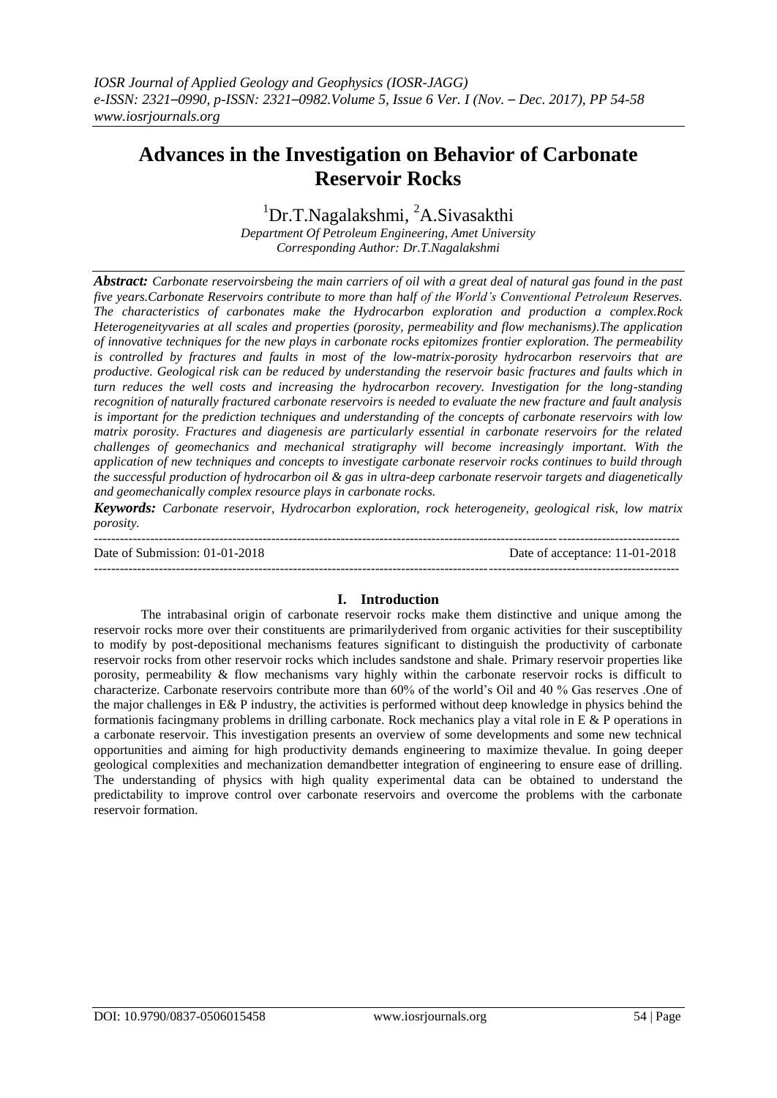# **Advances in the Investigation on Behavior of Carbonate Reservoir Rocks**

 ${}^{1}$ Dr.T.Nagalakshmi,  ${}^{2}$ A.Sivasakthi

*Department Of Petroleum Engineering, Amet University Corresponding Author: Dr.T.Nagalakshmi*

*Abstract: Carbonate reservoirsbeing the main carriers of oil with a great deal of natural gas found in the past five years.Carbonate Reservoirs contribute to more than half of the World's Conventional Petroleum Reserves. The characteristics of carbonates make the Hydrocarbon exploration and production a complex.Rock Heterogeneityvaries at all scales and properties (porosity, permeability and flow mechanisms).The application of innovative techniques for the new plays in carbonate rocks epitomizes frontier exploration. The permeability is controlled by fractures and faults in most of the low-matrix-porosity hydrocarbon reservoirs that are productive. Geological risk can be reduced by understanding the reservoir basic fractures and faults which in turn reduces the well costs and increasing the hydrocarbon recovery. Investigation for the long-standing recognition of naturally fractured carbonate reservoirs is needed to evaluate the new fracture and fault analysis is important for the prediction techniques and understanding of the concepts of carbonate reservoirs with low matrix porosity. Fractures and diagenesis are particularly essential in carbonate reservoirs for the related challenges of geomechanics and mechanical stratigraphy will become increasingly important. With the application of new techniques and concepts to investigate carbonate reservoir rocks continues to build through the successful production of hydrocarbon oil & gas in ultra-deep carbonate reservoir targets and diagenetically and geomechanically complex resource plays in carbonate rocks.*

*Keywords: Carbonate reservoir, Hydrocarbon exploration, rock heterogeneity, geological risk, low matrix porosity.*

--------------------------------------------------------------------------------------------------------------------------------------- Date of Submission: 01-01-2018 Date of acceptance: 11-01-2018 ---------------------------------------------------------------------------------------------------------------------------------------

## **I. Introduction**

The intrabasinal origin of carbonate reservoir rocks make them distinctive and unique among the reservoir rocks more over their constituents are primarilyderived from organic activities for their susceptibility to modify by post-depositional mechanisms features significant to distinguish the productivity of carbonate reservoir rocks from other reservoir rocks which includes sandstone and shale. Primary reservoir properties like porosity, permeability & flow mechanisms vary highly within the carbonate reservoir rocks is difficult to characterize. Carbonate reservoirs contribute more than 60% of the world's Oil and 40 % Gas reserves .One of the major challenges in E& P industry, the activities is performed without deep knowledge in physics behind the formationis facingmany problems in drilling carbonate. Rock mechanics play a vital role in E & P operations in a carbonate reservoir. This investigation presents an overview of some developments and some new technical opportunities and aiming for high productivity demands engineering to maximize thevalue. In going deeper geological complexities and mechanization demandbetter integration of engineering to ensure ease of drilling. The understanding of physics with high quality experimental data can be obtained to understand the predictability to improve control over carbonate reservoirs and overcome the problems with the carbonate reservoir formation.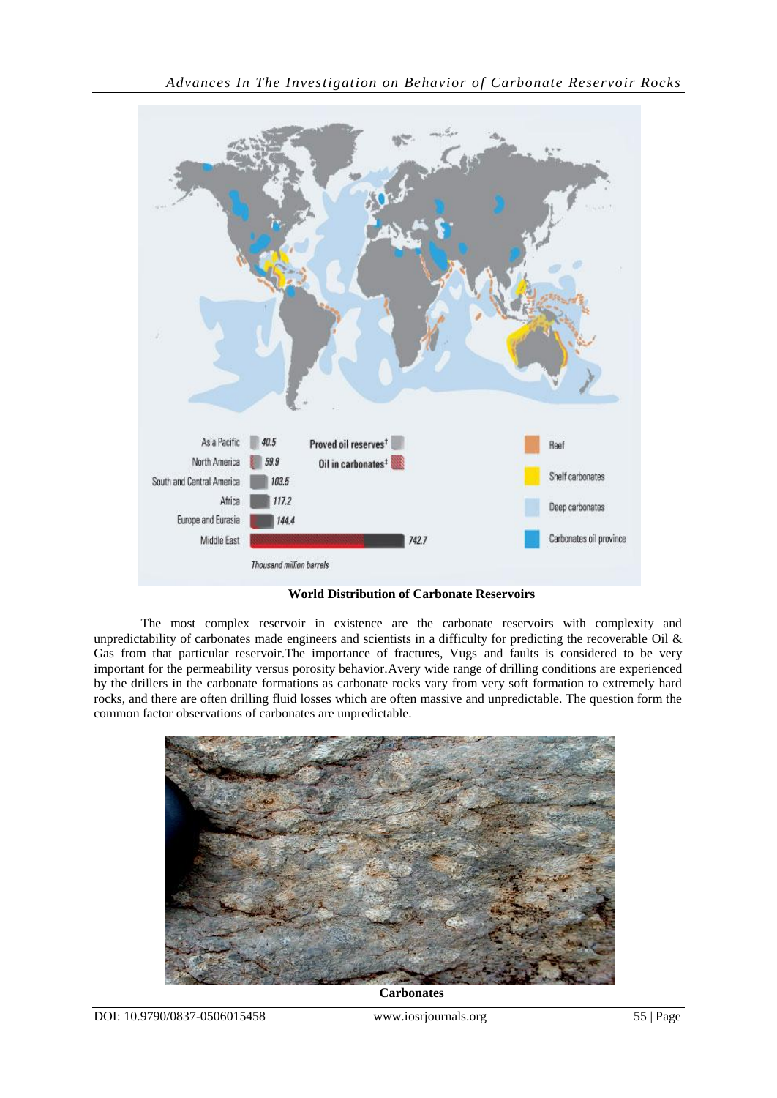

**World Distribution of Carbonate Reservoirs**

The most complex reservoir in existence are the carbonate reservoirs with complexity and unpredictability of carbonates made engineers and scientists in a difficulty for predicting the recoverable Oil  $\&$ Gas from that particular reservoir.The importance of fractures, Vugs and faults is considered to be very important for the permeability versus porosity behavior.Avery wide range of drilling conditions are experienced by the drillers in the carbonate formations as carbonate rocks vary from very soft formation to extremely hard rocks, and there are often drilling fluid losses which are often massive and unpredictable. The question form the common factor observations of carbonates are unpredictable.

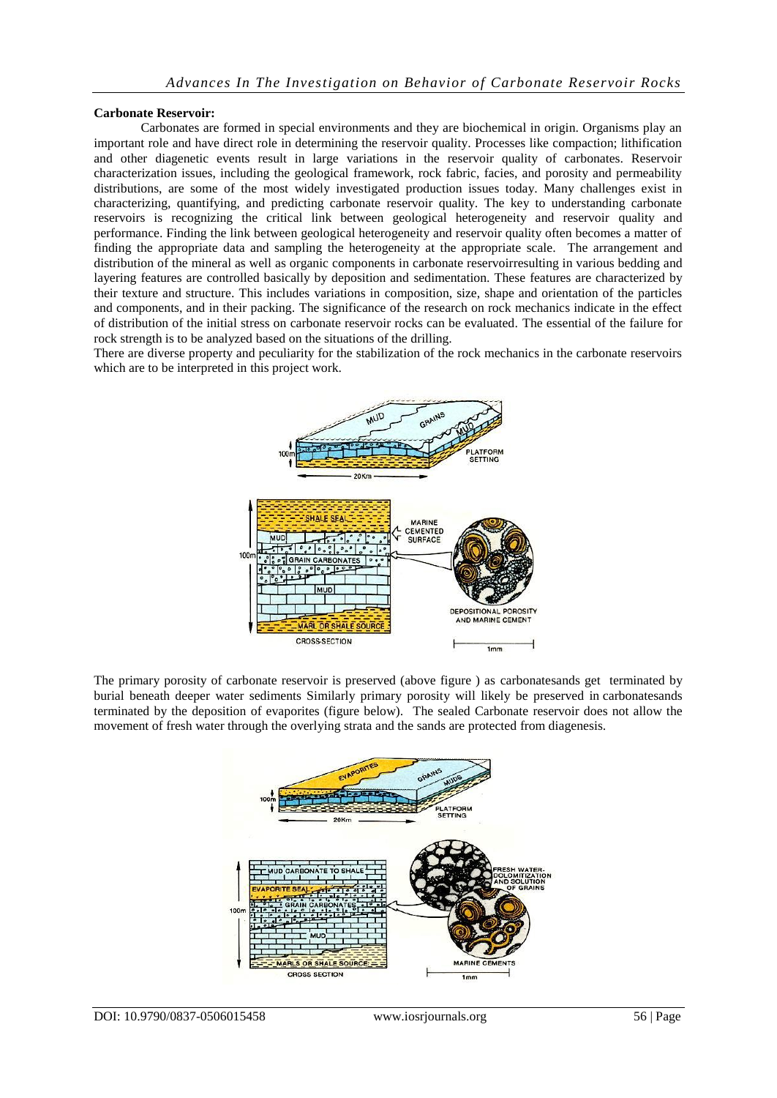### **Carbonate Reservoir:**

Carbonates are formed in special environments and they are biochemical in origin. Organisms play an important role and have direct role in determining the reservoir quality. Processes like compaction; lithification and other diagenetic events result in large variations in the reservoir quality of carbonates. Reservoir characterization issues, including the geological framework, rock fabric, facies, and porosity and permeability distributions, are some of the most widely investigated production issues today. Many challenges exist in characterizing, quantifying, and predicting carbonate reservoir quality. The key to understanding carbonate reservoirs is recognizing the critical link between geological heterogeneity and reservoir quality and performance. Finding the link between geological heterogeneity and reservoir quality often becomes a matter of finding the appropriate data and sampling the heterogeneity at the appropriate scale. The arrangement and distribution of the mineral as well as organic components in carbonate reservoirresulting in various bedding and layering features are controlled basically by deposition and sedimentation. These features are characterized by their texture and structure. This includes variations in composition, size, shape and orientation of the particles and components, and in their packing. The significance of the research on rock mechanics indicate in the effect of distribution of the initial stress on carbonate reservoir rocks can be evaluated. The essential of the failure for rock strength is to be analyzed based on the situations of the drilling.

There are diverse property and peculiarity for the stabilization of the rock mechanics in the carbonate reservoirs which are to be interpreted in this project work.



The primary porosity of carbonate reservoir is preserved (above figure ) as [carbonates](http://www.sepmstrata.org/page.aspx?pageid=91)ands get terminated by burial beneath deeper water sediments Similarly primary porosity will likely be preserved in [carbonates](http://www.sepmstrata.org/page.aspx?pageid=91)ands terminated by the deposition of evaporites (figure below). The sealed Carbonate reservoir does not allow the movement of fresh water through the overlying [strata](http://www.sepmstrata.org/page.aspx?pageid=91) and the sands are protected from diagenesis.

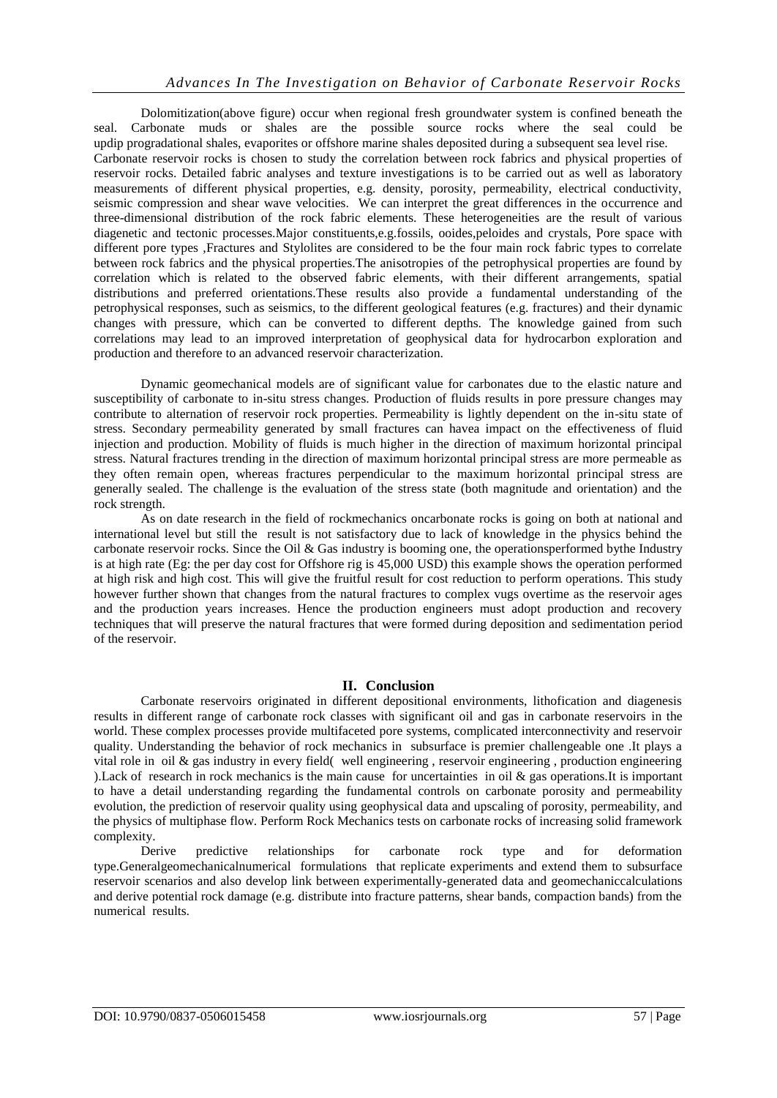Dolomitization(above figure) occur when regional fresh groundwater system is confined beneath the seal. Carbonate muds or shales are the possible source rocks where the seal could be updip [progradationa](http://www.sepmstrata.org/page.aspx?pageid=91)l [shales](http://www.sepmstrata.org/page.aspx?pageid=91), evaporites or offshore marine [shales](http://www.sepmstrata.org/page.aspx?pageid=91) deposited during a subsequent sea level rise. Carbonate reservoir rocks is chosen to study the correlation between rock fabrics and physical properties of reservoir rocks. Detailed fabric analyses and texture investigations is to be carried out as well as laboratory measurements of different physical properties, e.g. density, porosity, permeability, electrical conductivity, seismic compression and shear wave velocities. We can interpret the great differences in the occurrence and three-dimensional distribution of the rock fabric elements. These heterogeneities are the result of various diagenetic and tectonic processes.Major constituents,e.g.fossils, ooides,peloides and crystals, Pore space with different pore types ,Fractures and Stylolites are considered to be the four main rock fabric types to correlate between rock fabrics and the physical properties.The anisotropies of the petrophysical properties are found by correlation which is related to the observed fabric elements, with their different arrangements, spatial distributions and preferred orientations.These results also provide a fundamental understanding of the petrophysical responses, such as seismics, to the different geological features (e.g. fractures) and their dynamic changes with pressure, which can be converted to different depths. The knowledge gained from such correlations may lead to an improved interpretation of geophysical data for hydrocarbon exploration and production and therefore to an advanced reservoir characterization.

Dynamic geomechanical models are of significant value for carbonates due to the elastic nature and susceptibility of carbonate to in-situ stress changes. Production of fluids results in pore pressure changes may contribute to alternation of reservoir rock properties. Permeability is lightly dependent on the in-situ state of stress. Secondary permeability generated by small fractures can havea impact on the effectiveness of fluid injection and production. Mobility of fluids is much higher in the direction of maximum horizontal principal stress. Natural fractures trending in the direction of maximum horizontal principal stress are more permeable as they often remain open, whereas fractures perpendicular to the maximum horizontal principal stress are generally sealed. The challenge is the evaluation of the stress state (both magnitude and orientation) and the rock strength.

As on date research in the field of rockmechanics oncarbonate rocks is going on both at national and international level but still the result is not satisfactory due to lack of knowledge in the physics behind the carbonate reservoir rocks. Since the Oil & Gas industry is booming one, the operationsperformed bythe Industry is at high rate (Eg: the per day cost for Offshore rig is 45,000 USD) this example shows the operation performed at high risk and high cost. This will give the fruitful result for cost reduction to perform operations. This study however further shown that changes from the natural fractures to complex vugs overtime as the reservoir ages and the production years increases. Hence the production engineers must adopt production and recovery techniques that will preserve the natural fractures that were formed during deposition and sedimentation period of the reservoir.

## **II. Conclusion**

Carbonate reservoirs originated in different depositional environments, lithofication and diagenesis results in different range of carbonate rock classes with significant oil and gas in carbonate reservoirs in the world. These complex processes provide multifaceted pore systems, complicated interconnectivity and reservoir quality. Understanding the behavior of rock mechanics in subsurface is premier challengeable one .It plays a vital role in oil & gas industry in every field( well engineering , reservoir engineering , production engineering ).Lack of research in rock mechanics is the main cause for uncertainties in oil & gas operations.It is important to have a detail understanding regarding the fundamental controls on carbonate porosity and permeability evolution, the prediction of reservoir quality using geophysical data and upscaling of porosity, permeability, and the physics of multiphase flow. Perform Rock Mechanics tests on carbonate rocks of increasing solid framework complexity.

Derive predictive relationships for carbonate rock type and for deformation type.Generalgeomechanicalnumerical formulations that replicate experiments and extend them to subsurface reservoir scenarios and also develop link between experimentally-generated data and geomechaniccalculations and derive potential rock damage (e.g. distribute into fracture patterns, shear bands, compaction bands) from the numerical results.